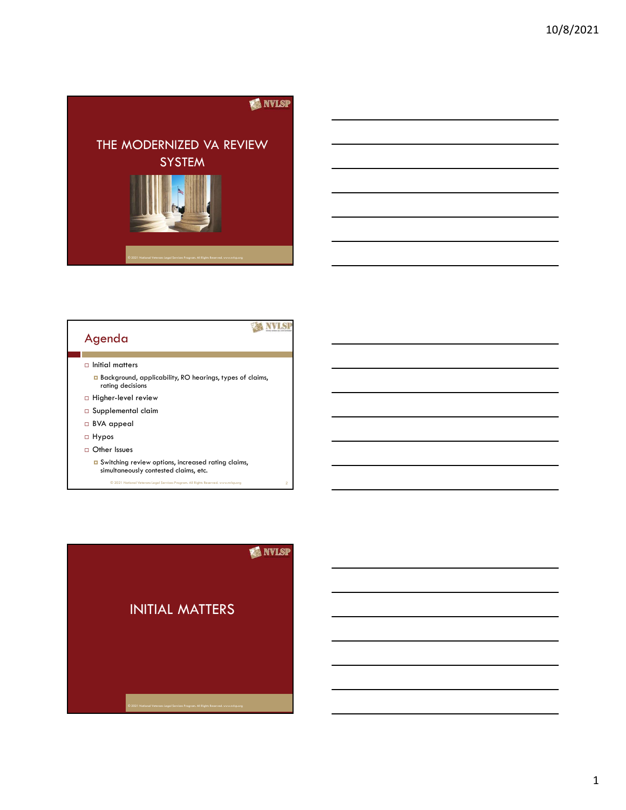



#### $\Box$  Initial matters

- Background, applicability, RO hearings, types of claims, rating decisions
- $\Box$  Higher-level review
- Supplemental claim
- BVA appeal
- Hypos
- Other Issues
	- $\overline{\phantom{a}}$  Switching review options, increased rating claims,  $\overline{\phantom{a}}$  and  $\overline{\phantom{a}}$  and  $\overline{\phantom{a}}$  and  $\overline{\phantom{a}}$  and  $\overline{\phantom{a}}$  and  $\overline{\phantom{a}}$  and  $\overline{\phantom{a}}$  and  $\overline{\phantom{a}}$  and  $\overline{\phantom{a}}$  and  $\overline{\phantom{a}}$  and simultaneously contested claims, etc.

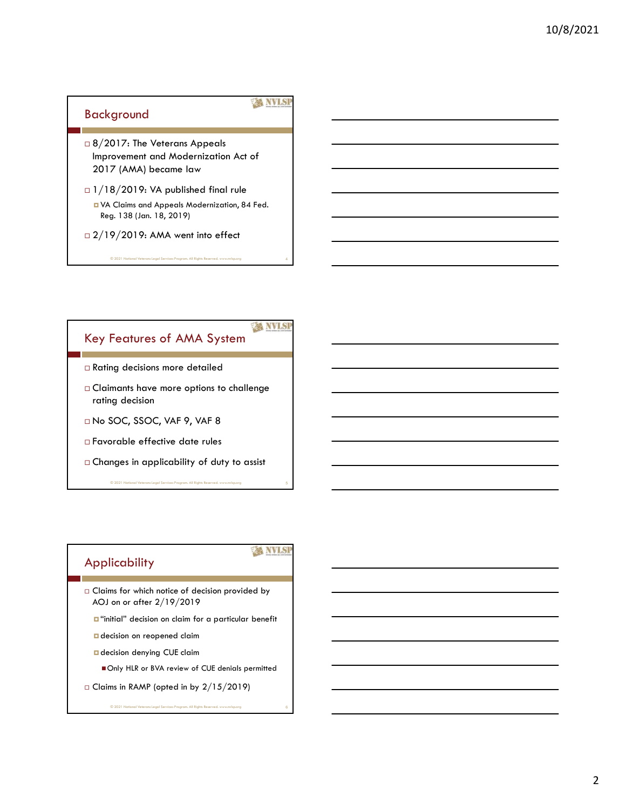#### Background

#### **XX NVLSP**

- □ 8/2017: The Veterans Appeals Improvement and Modernization Act of 2017 (AMA) became law
- $\Box$  1/18/2019: VA published final rule
	- VA Claims and Appeals Modernization, 84 Fed. Reg. 138 (Jan. 18, 2019)
- $\Box$  2/19/2019: AMA went into effect

#### **ANIS** Key Features of AMA System

- Rating decisions more detailed
- Claimants have more options to challenge rating decision
- No SOC, SSOC, VAF 9, VAF 8
- Favorable effective date rules
- $\square$  Changes in applicability of duty to assist  $\odot$  2021 National Veterans Legal Services Program. All Rights Reserved. www.nvlsp.org 5

#### Applicability

**EX NVLSP** 

- $\square$  Claims for which notice of decision provided by AOJ on or after 2/19/2019
	- $\Box$  "initial" decision on claim for a particular benefit
	- **D** decision on reopened claim
	- **a** decision denying CUE claim
		- Only HLR or BVA review of CUE denials permitted

© 2021 National Veterans Legal Services Program. All Rights Reserved. www.nvlsp.org 6

 $\Box$  Claims in RAMP (opted in by 2/15/2019)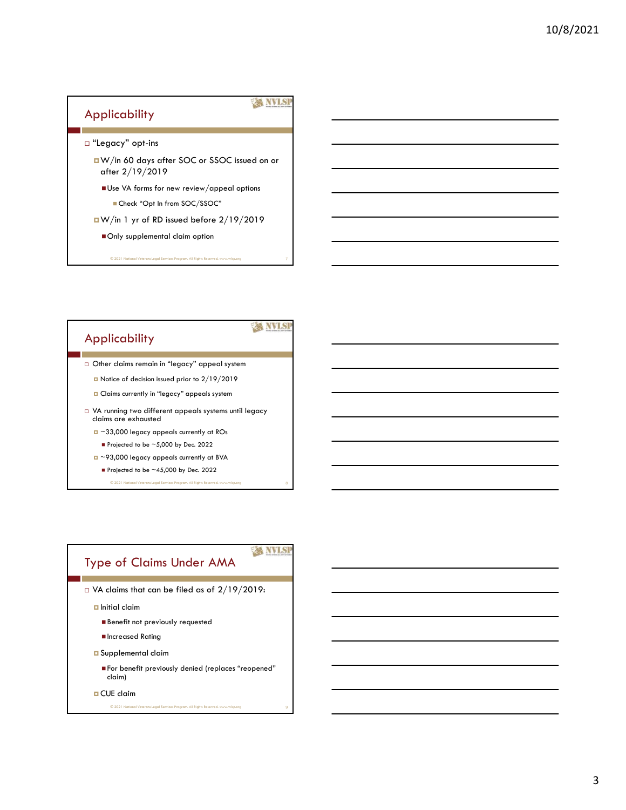#### Applicability

- "Legacy" opt-ins
- W/in 60 days after SOC or SSOC issued on or after 2/19/2019 pplicability<br>
"Legacy" opt-ins<br>  $\frac{d}{dx}$  W/in 60 days after SOC or SSOC issued on or<br>  $\frac{d}{dx}$  of A forms for new review/appeal options<br>  $\frac{d}{dx}$  and  $\frac{d}{dx}$  are set  $\frac{d}{dx}$  and  $\frac{d}{dx}$  are  $\frac{d}{dx}$  and  $\frac{d}{dx}$ 
	- Use VA forms for new review/appeal options ■ Check "Opt In from SOC/SSOC"
	- -

## Applicability

#### **A NVISI**

**WANVISH** 

- Other claims remain in "legacy" appeal system
	- Notice of decision issued prior to 2/19/2019
	- **Q** Claims currently in "legacy" appeals system
- VA running two different appeals systems until legacy claims are exhausted
	- ~33,000 legacy appeals currently at ROs
		- Projected to be  $\sim$  5,000 by Dec. 2022
	- ~93,000 legacy appeals currently at BVA
		- Projected to be  $\sim$ 45,000 by Dec. 2022
			- © 2021 National Veterans Legal Services Program. All Rights Reserved. We are 8

### Type of Claims Under AMA

- VA claims that can be filed as of 2/19/2019:
	- $\Box$  Initial claim
		- **Benefit not previously requested**
		- **Increased Rating**
	- Supplemental claim
		- For benefit previously denied (replaces "reopened" claim)

© 2021 National Veterans Legal Services Program. All Rights Reserved. www.nvlsp.org 9

**D** CUE claim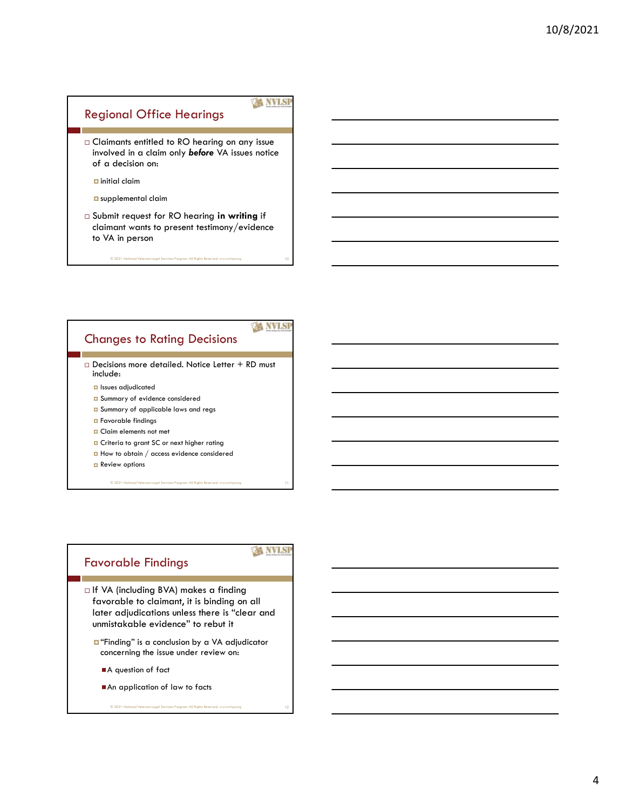#### **XX NVLSP**

© 2021 National Veterans Legal Services Program. All Rights Reserved. www.nvlsp.org 10

 Claimants entitled to RO hearing on any issue involved in a claim only before VA issues notice of a decision on:

Regional Office Hearings

 $\Box$  initial claim

- u supplemental claim
- Submit request for RO hearing in writing if claimant wants to present testimony/evidence to VA in person

#### **A NVISI** Changes to Rating Decisions

 $\Box$  Decisions more detailed. Notice Letter + RD must include:

- Issues adjudicated
- Summary of evidence considered
- **Q** Summary of applicable laws and regs
- **D** Favorable findings
- **D** Claim elements not met
- **D** Criteria to grant SC or next higher rating
- $\Box$  How to obtain / access evidence considered

**Review options** 

© 2021 National Veterans Legal Services Program. All Rights Reserved. www.nvlsp.org 11

#### Favorable Findings

**XX NVLSI** 

- □ If VA (including BVA) makes a finding favorable to claimant, it is binding on all later adjudications unless there is "clear and unmistakable evidence" to rebut it
	- "Finding" is a conclusion by a VA adjudicator concerning the issue under review on:

- A question of fact
- An application of law to facts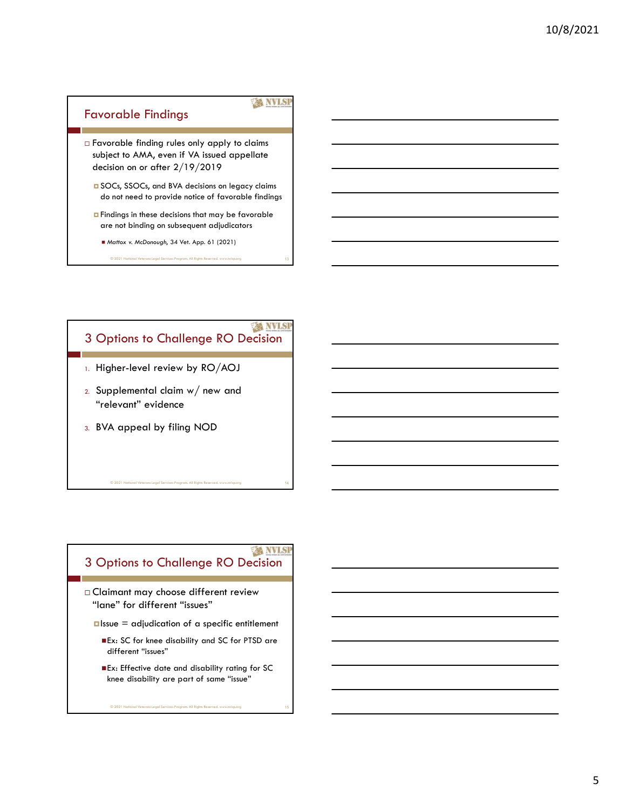#### **XX NVLSP** Favorable Findings Favorable finding rules only apply to claims subject to AMA, even if VA issued appellate decision on or after 2/19/2019 SOCs, SSOCs, and BVA decisions on legacy claims do not need to provide notice of favorable findings **<u>n</u>** Findings in these decisions that may be favorable are not binding on subsequent adjudicators Mattox v. McDonough, 34 Vet. App. 61 (2021)

© 2021 National Veterans Legal Services Program. All Rights Reserved. www.nvlsp.org 13

## 3 Options to Challenge RO Decision 1. Higher-level review by RO/AOJ 2. Supplemental claim w/ new and "relevant" evidence 3. BVA appeal by filing NOD

## 3 Options to Challenge RO Decision

 Claimant may choose different review "lane" for different "issues"

© 2021 National Veterans Legal Services Program. All Rights Reserved. www.nvlsp.org 14

 $\square$  Issue = adjudication of a specific entitlement

- Ex: SC for knee disability and SC for PTSD are different "issues"
- Ex: Effective date and disability rating for SC knee disability are part of same "issue"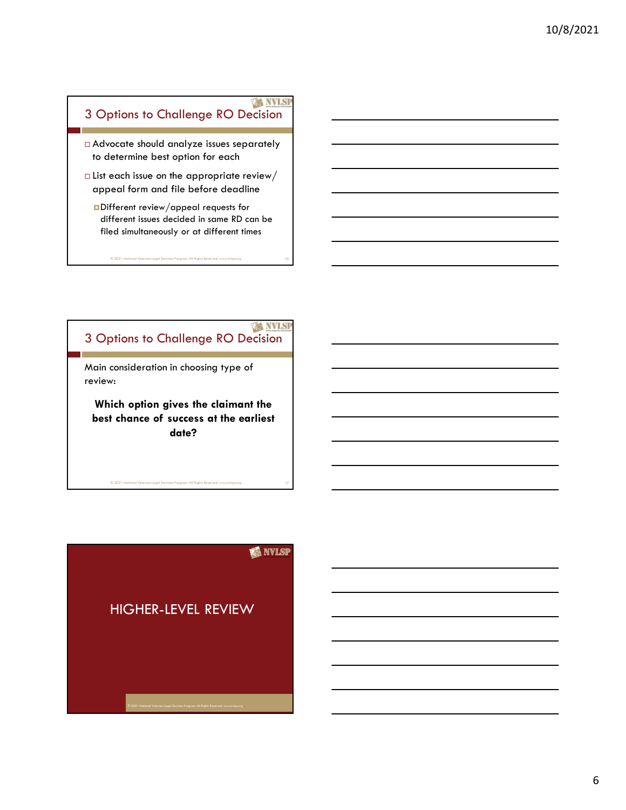#### **EX NVLSP** 3 Options to Challenge RO Decision

- to determine best option for each
- $\Box$  List each issue on the appropriate review/ appeal form and file before deadline
- <p>□ Advocate should analyze issues separately</p>\n<p>• ▶ to determine best option for each</p>\n<p>□ List each issue on the appropriate review/ append form and file before deadline</p>\n<p>□ Different review/append requests for different issues decided in same RD can be filled simultaneously or at different times</p>\n<p>• 20211144</p>\n<p>• 02011144</p>\n<p>• 02011144</p>\n<p>• 02011144</p>\n<p>• 02011144</p>\n<p>• 02011144</p>\n<p>• 02011144</p>\n<p>• 02011144</p>\n<p>• 02011144</p>\n Different review/appeal requests for different issues decided in same RD can be filed simultaneously or at different times

# © 2021 National Veterans Legal Services Program. All Rights Reserved. www.nvlsp.org 3 3 Options to Challenge RO Decision

Main consideration in choosing type of review:

Which option gives the claimant the best chance of success at the earliest date?

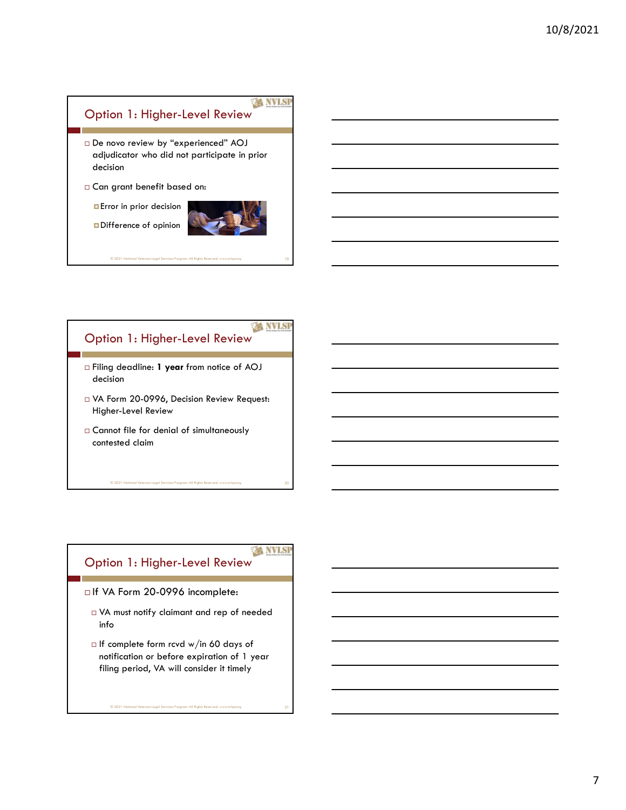## **EX NVLSP** Option 1: Higher-Level Review De novo review by "experienced" AOJ adjudicator who did not participate in prior decision Can grant benefit based on: **Error** in prior decision Difference of opinion  $\blacksquare$ <br>
2021 National Veterans Legal Services Program. All Rights Reserved. www.nvlsp.org 19

## Option 1: Higher-Level Review

- □ Filing deadline: 1 year from notice of AOJ decision
- VA Form 20-0996, Decision Review Request: Higher-Level Review

© 2021 National Veterans Legal Services Program. All Rights Reserved. www.nvlsp.org 20

 Cannot file for denial of simultaneously contested claim

#### **WANVISH** Option 1: Higher-Level Review

- □ If VA Form 20-0996 incomplete:
	- VA must notify claimant and rep of needed info
	- $\Box$  If complete form rcvd w/in 60 days of notification or before expiration of 1 year filing period, VA will consider it timely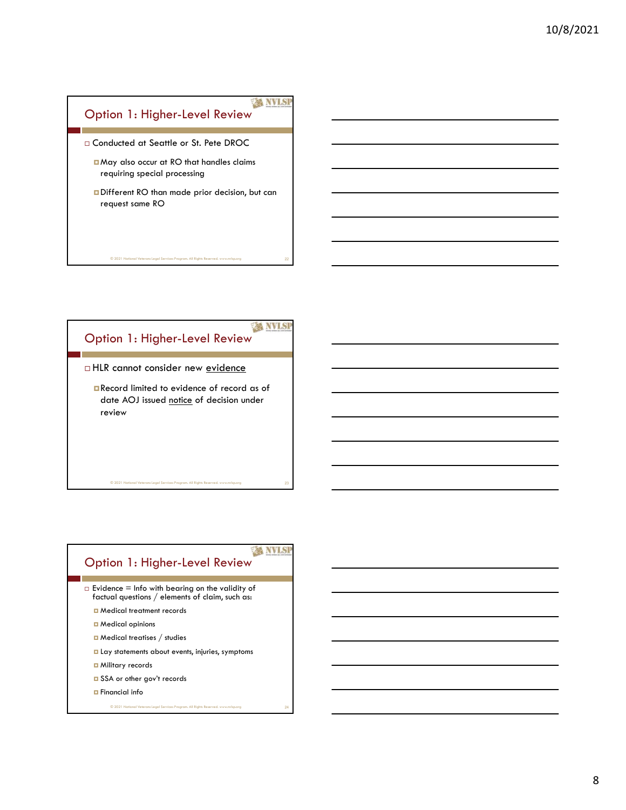

© 2021 National Veterans Legal Services Program. All Rights Reserved. www.nvlsp.org 22

# Option 1: Higher-Level Review

□ HLR cannot consider new <u>evidence</u><br>
■ Record limited to evidence of record as of<br>
date AOJ issued <u>notice</u> of decision under<br>
review<br>  $\overbrace{ }$ <br>  $\overbrace{ }$ <br>  $\overbrace{ }$ <br>  $\overbrace{ }$ <br>  $\overbrace{ }$ <br>  $\overbrace{ }$ <br>  $\overbrace{ }$ <br>  $\overbrace{ }$ <br>  $\overbrace{ }$ <br>  $\over$ Record limited to evidence of record as of review **the contract of the contract of the contract of the contract of the contract of the contract of the contract of the contract of the contract of the contract of the contract of the contract of the contract of the co** 

# © 2021 National Veterans Legal Services Program. All Rights Reserved. www.nvlsp.org  $\no$  23<br>Option 1: Higher-Level Review  $\no$

<p>□ Evidence = Info with bearing on the validity of<br/>\n factorial questions / elements of claim, such as:<br/>\n□ Medical treatment records<br/>\n□ Medical options<br/>\n□ Medical principles / studies<br/>\n□ Lay statements about events, injuries, symptoms<br/>\n□ Military records<br/>\n□ SSA or other gov't records<br/>\n□ Financial info<br/>\n 0201 National Network Program, All Right Research.  $\Box$  Evidence = Info with bearing on the validity of factual questions / elements of claim, such as:

- **D** Medical treatment records
- **D** Medical opinions
- Medical treatises / studies
- **Lay statements about events, injuries, symptoms**
- **D** Military records
- SSA or other gov't records
- Financial info  $@ 2021$  Natio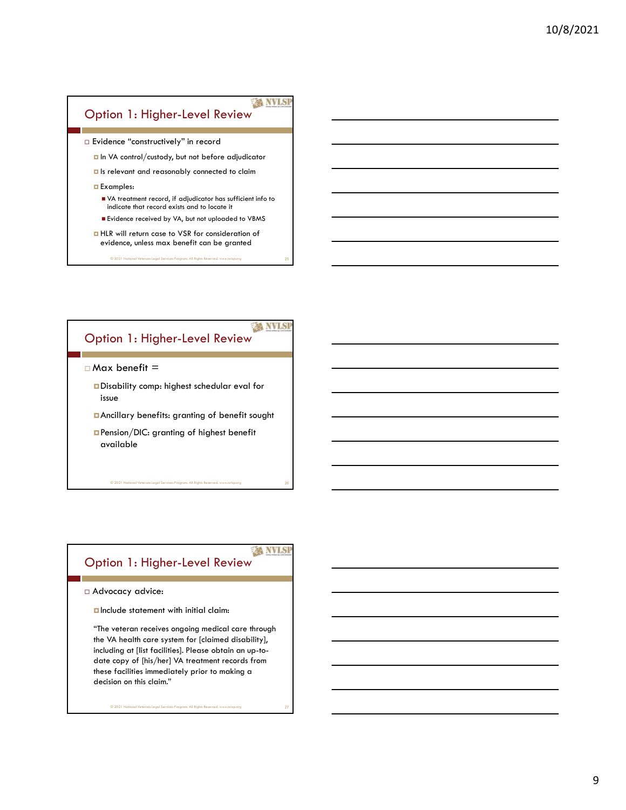#### **XX NVLSP** Option 1: Higher-Level Review

- 
- 

- <p>□ Evidence "constructively" in record</p>\n<p>□ In VA control/cutoff, but not before adjudicator</p>\n<p>□ Is relevant and reasonably connected to claim</p>\n<p>□ Examples:</p>\n<p>■ VA treatment record, if adjudicator has sufficient info to indicate that record exists and to locate it</p>\n<p>■ Evidence received by VA, but not uploaded to VBMS</p>\n<p>□ HLR will return case to VSR for consideration of evidence, unless max benefit can be granted</p>\n<p>©221 Ited out the same length. If a point is the second. If a point is the second line, then the second line is the second line. If a point is the second line is the second line, then the second line is the second line. If a point is the second line is the second line, then the second line is the second line is the second line. If a point is the second line is indicate that record exists and to locate it
	- Evidence received by VA, but not uploaded to VBMS
	- **HLR** will return case to VSR for consideration of evidence, unless max benefit can be granted
		-

# © 2021 National Veterans Legal Services Program. All Rights Reserved. www.nvlsp.org Option 1: Higher-Level Review

 $\square$  Max benefit =<br>  $\square$  Disability comp: highest schedular eval for<br>
issue<br>  $\square$  Ancillary benefits: granting of benefit sought<br>  $\square$  Pension/DIC: granting of highest benefit<br>
available<br>  $\bigcirc$  2021 National Veteron Lagal Disability comp: highest schedular eval for **issue** 

Ancillary benefits: granting of benefit sought

Pension/DIC: granting of highest benefit available

# © 2021 National Veterans Legal Services Program. All Rights Reserved. www.nvlsp.org Option 1: Higher-Level Review

*<u>n</u>* Include statement with initial claim:

<p>□ Advocacy advice:</p>\n<p>□ Include statement with initial claim:</p>\n<p>"The vertex are receives ongoing medical care through the VA health care system for [claimed disability], including or [list facilities]. Please obtain an up-to-date copy of [his/her] VA treatment records from these facilities immediately prior to making a decision on this claim."</p>\n<p>③201 National Vesteren length. All Right learned with the following. </p>\n "The veteran receives ongoing medical care through the VA health care system for [claimed disability], including at [list facilities]. Please obtain an up-todate copy of [his/her] VA treatment records from these facilities immediately prior to making a decision on this claim."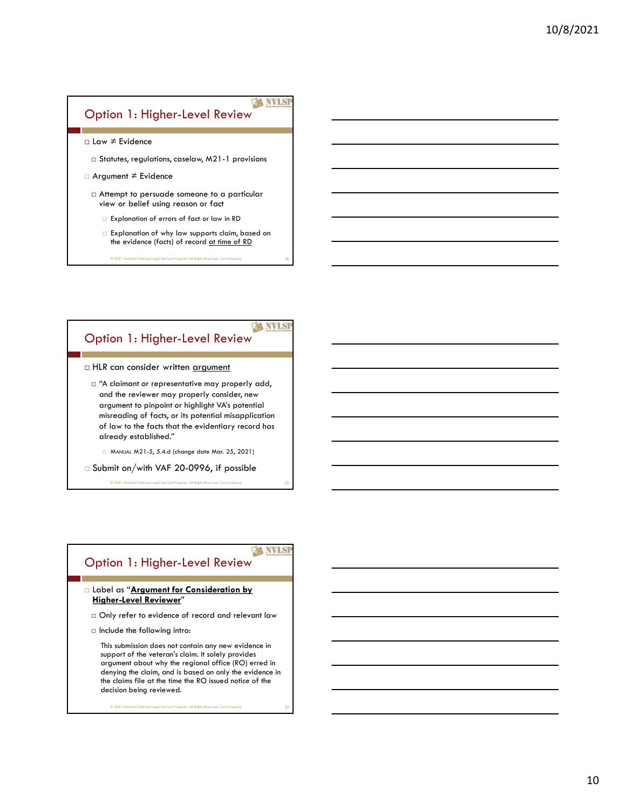#### **XX NVLSP** Option 1: Higher-Level Review

- 
- 
- □ Law ≠ Evidence<br>
□ Statutes, regulations, caselaw, M21-1 provisions<br>
□ Argument ≠ Evidence<br>
□ Attempt to persuade someone to a particular<br>
view or belief using reason or fact<br>
□ Explanation of errors of fact or law in view or belief using reason or fact
	- Explanation of errors of fact or law in RD
	- Explanation of why law supports claim, based on the evidence (facts) of record at time of RD

# © 2021 National Veterans Legal Services Program. All Rights Reserved. www.nvlsp.org Option 1: Higher-Level Review

 $□$  HLR can consider written <u>argument</u><br>  $□$  "A claimant or representative may properly add,<br>
and the reviewer may properly consider, new<br>
argument to pinpoint or highlight VA's potential<br>
misreading of facts, or its po and the reviewer may properly consider, new argument to pinpoint or highlight VA's potential misreading of facts, or its potential misapplication of law to the facts that the evidentiary record has already established."

MANUAL M21-5, 5.4.d (change date Mar. 25, 2021)

□ Submit on/with VAF 20-0996, if possible

# © 2021 National Veterans Legal Services Program. All Rights Reserved. www.nvlsp.org Option 1: Higher-Level Review

## Higher-Level Reviewer"

- $\Box$  Only refer to evidence of record and relevant law
- $\Box$  Include the following intro:

<p>□ Label as "Argument for Consideration by Higher-Level Reviewer"</p>\n<p>□ Only refer to evidence of record and relevant law</p>\n<p>□ Include the following intro:</p>\n<p>This submission does not contain any new evidence in support of the vertex's claim. It solely provides support about why the regional office (RO) erred in denying the claim, and is based on only the evidence in the claims file at the time the RO issued notice of the decision being reviewed.</p>\n<p>③201 Nederland Vatman length. It is a good to solve the calculation, and it is not a very large number of the decision being received.</p> This submission does not contain any new evidence in support of the veteran's claim. It solely provides argument about why the regional office (RO) erred in denying the claim, and is based on only the evidence in the claims file at the time the RO issued notice of the decision being reviewed.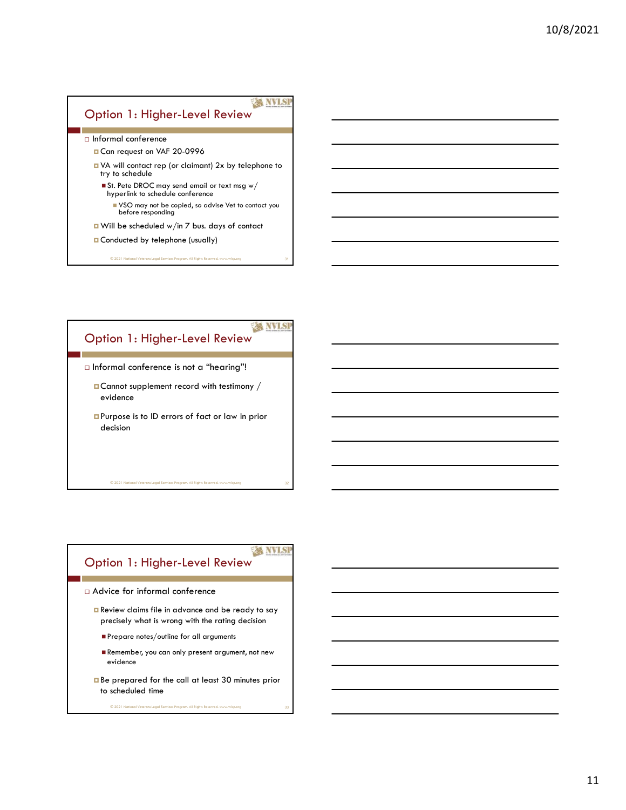#### **XX NVLSP** Option 1: Higher-Level Review Informal conference Can request on VAF 20-0996 VA will contact rep (or claimant) 2x by telephone to try to schedule  $\blacksquare$  St. Pete DROC may send email or text msg w/ hyperlink to schedule conference VSO may not be copied, so advise Vet to contact you before responding ■ Will be scheduled w/in 7 bus. days of contact **Conducted by telephone (usually)** © 2021 National Veterans Legal Services Program. All Rights Reserved. www.nvlsp.org 31



#### **WANTS** Option 1: Higher-Level Review

Advice for informal conference

Review claims file in advance and be ready to say precisely what is wrong with the rating decision

- Prepare notes/outline for all arguments
- Remember, you can only present argument, not new evidence
- Be prepared for the call at least 30 minutes prior to scheduled time<br>
© 2021 National Veterans Legal Services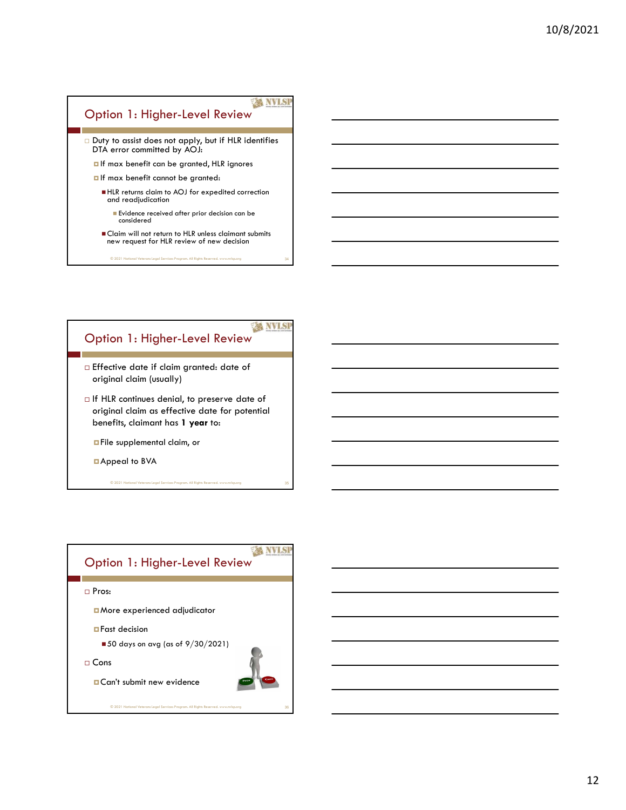#### **EX NVLSP** Option 1: Higher-Level Review Duty to assist does not apply, but if HLR identifies DTA error committed by AOJ:

- $\blacksquare$  If max benefit can be granted, HLR ignores
- If max benefit cannot be granted:
	- HLR returns claim to AOJ for expedited correction and readjudication
		- **Evidence received after prior decision can be** considered
	- **Claim will not return to HLR unless claimant submits** new request for HLR review of new decision

© 2021 National Veterans Legal Services Program. All Rights Reserved. www.nvlsp.org 34

### **A NVISI** Option 1: Higher-Level Review

- Effective date if claim granted: date of original claim (usually)
- $\Box$  If HLR continues denial, to preserve date of original claim as effective date for potential benefits, claimant has 1 year to:

**D**File supplemental claim, or

Appeal to BVA

© 2021 National Veterans Legal Services Program. All Rights Reserved. www.nvlsp.org 35

## **WANVISH** Option 1: Higher-Level Review Pros: More experienced adjudicator **D**Fast decision  $\blacksquare$  50 days on avg (as of 9/30/2021) Cons **□ Can't submit new evidence**<br>
© 2021 National Veterans Legal Services Program. All Rights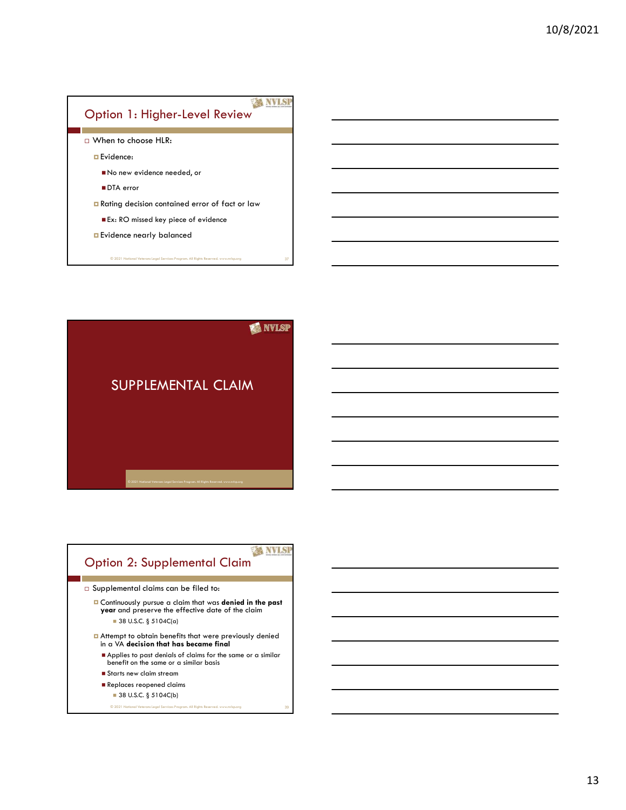



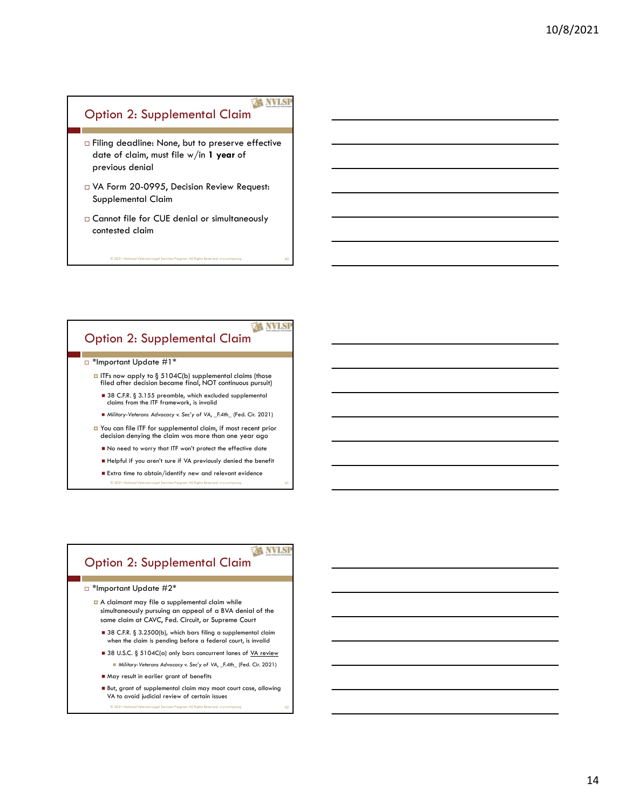#### **WISP** Option 2: Supplemental Claim

- □ Filing deadline: None, but to preserve effective date of claim, must file w/in 1 year of previous denial Plumar 2: Supplemental Claim<br>
Filing deadline: None, but to preserve effective<br>
ore vious denial<br>
VA Form 20-0995, Decision Review Request:<br>
Supplemental Claim<br>
Claims (the for CUE denial or simultaneously<br>
contested claim ing deadline: None, but to preserve effective<br>
sevious denial<br>
evious denial<br>
Norm 20-0995, Decision Review Request:<br>
pplemental Claim<br>
summer file for CUE denial or simultaneously<br>
method dicim<br>
summer file for CUE denial
- VA Form 20-0995, Decision Review Request: Supplemental Claim
- Cannot file for CUE denial or simultaneously contested claim

© 2021 National Veterans Legal Services Program. All Rights Reserved. www.nvlsp.org 40

#### Option 2: Supplemental Claim

- □ \*Important Update #1\*
	- $\Box$  ITFs now apply to § 5104C(b) supplemental claims (those filed after decision became final, NOT continuous pursuit)
		- 38 C.F.R. § 3.155 preamble, which excluded supplemental claims from the ITF framework, is invalid
		- Military-Veterans Advocacy v. Sec'y of VA, \_F.4th\_ (Fed. Cir. 2021)
	- You can file ITF for supplemental claim, if most recent prior decision denying the claim was more than one year ago
	- No need to worry that ITF won't protect the effective date
	- Helpful if you aren't sure if VA previously denied the benefit
	- **Extra time to obtain/identify new and relevant evidence** © 2021 National Veterans Legal Services Program. All Rights Reserved. www.nvlsp.org 41

## Option 2: Supplemental Claim

- \*Important Update #2\*
- A claimant may file a supplemental claim while simultaneously pursuing an appeal of a BVA denial of the same claim at CAVC, Fed. Circuit, or Supreme Court If is a c.pc. § 3.104C(b) supplemental claim these spaces of the set of the sole of the sole of the sole of the sole of the sole of the sole of the sole of the sole of discrete in density is a supplemental claim from the and Sc. E.A. \$ 3.156 presented, which excluded supplemented<br>
a domic from the IIT from eventy. Survive (*i*), simulated supplemented<br>
reduced from the IIT for supplemented claim, if most a cocor prior<br>
from the IIT for
	- $\blacksquare$  38 C.F.R. § 3.2500(b), which bars filing a supplemental claim when the claim is pending before a federal court, is invalid
	-
	-
	- VA to avoid judicial review of certain issues © 2021 National Veterans Legal Services Program. All Rights Reserved. www.nvlsp.org 42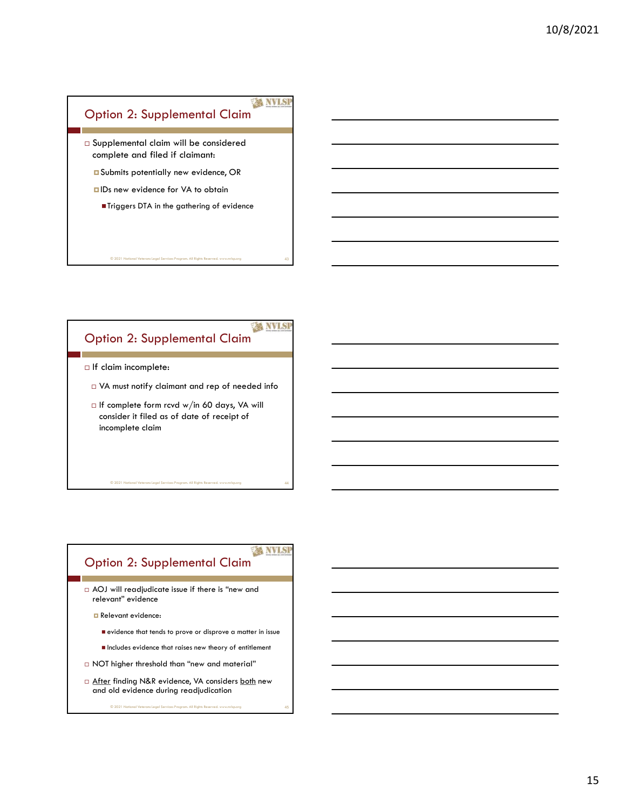

© 2021 National Veterans Legal Services Program. All Rights Reserved. www.nvlsp.org 43

© 2021 National Veterans Legal Services Program. All Rights Reserved. www.nvlsp.org 44

#### **A NVISI** Option 2: Supplemental Claim

- $\Box$  If claim incomplete:
- VA must notify claimant and rep of needed info
- $\Box$  If complete form rcvd w/in 60 days, VA will consider it filed as of date of receipt of incomplete claim

## Option 2: Supplemental Claim

- AOJ will readjudicate issue if there is "new and relevant" evidence
	- **Relevant evidence:** 
		- evidence that tends to prove or disprove a matter in issue
		- $\blacksquare$  Includes evidence that raises new theory of entitlement

- NOT higher threshold than "new and material"
- After the consideration of the consideration of the consideration of the consideration of the consideration of the construction of the construction of the construction of the construction of the construction of the constru and old evidence during readjudication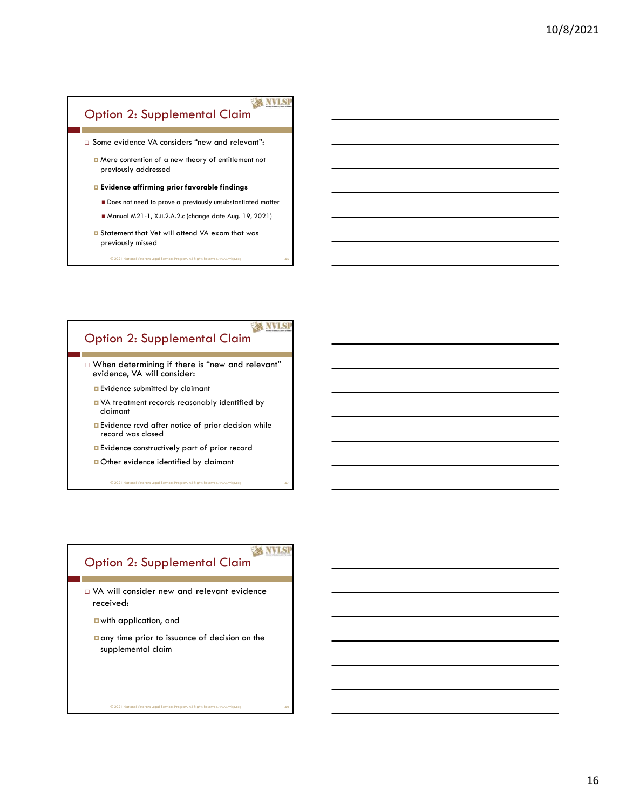#### **EX NVLSP** Option 2: Supplemental Claim □ Some evidence VA considers "new and relevant": Mere contention of a new theory of entitlement not previously addressed **Exidence affirming prior favorable findings Does not need to prove a previously unsubstantiated matter** Manual M21-1, X.ii.2.A.2.c (change date Aug. 19, 2021)

**E** Statement that Vet will attend VA exam that was previously missed

© 2021 National Veterans Legal Services Program. All Rights Reserved. www.nvlsp.org 46

#### **A NVISI** Option 2: Supplemental Claim

 When determining if there is "new and relevant" evidence, VA will consider:

- **Exidence submitted by claimant**
- VA treatment records reasonably identified by claimant
- **E**vidence rcvd after notice of prior decision while record was closed
- **Exidence constructively part of prior record**
- Other evidence identified by claimant

© 2021 National Veterans Legal Services Program. All Rights Reserved. www.nvlsp.org 47

#### **WIS** Option 2: Supplemental Claim

 VA will consider new and relevant evidence received:

with application, and

any time prior to issuance of decision on the supplemental claim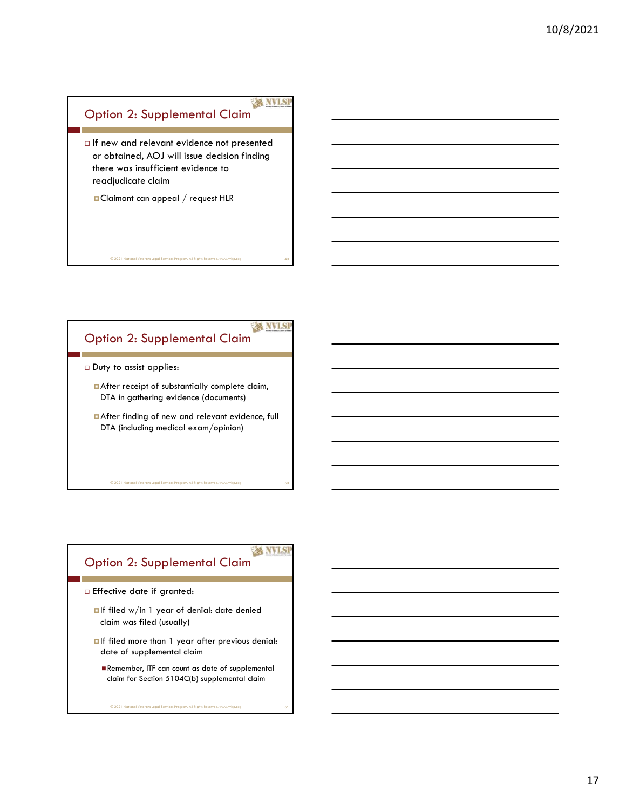## Option 2: Supplemental Claim

 $\Box$  If new and relevant evidence not presented or obtained, AOJ will issue decision finding there was insufficient evidence to Pytion 2: Supplemental Claim<br>
If new and relevant evidence not presented<br>
or obtained, AOJ will issue decision finding<br>
there was instificient evidence to<br>
readiplicate claim<br> **a**Claimant can appeal / request HLR<br> **aClaima** 

© 2021 National Veterans Legal Services Program. All Rights Reserved. www.nvlsp.org 49

Claimant can appeal / request HLR

#### **A NVISI** Option 2: Supplemental Claim

- □ Duty to assist applies:
	- **After receipt of substantially complete claim,** DTA in gathering evidence (documents)
	- After finding of new and relevant evidence, full  $\begin{array}{l|l} \hline \end{array}$   $\begin{array}{l} \hline \end{array}$   $\begin{array}{l} \hline \end{array}$   $\begin{array}{l} \hline \end{array}$   $\begin{array}{l} \hline \end{array}$   $\begin{array}{l} \hline \end{array}$   $\begin{array}{l} \hline \end{array}$   $\begin{array}{l} \hline \end{array}$   $\begin{array}{l} \hline \end{array}$   $\begin{array}{l} \hline \end{array}$   $\begin{array}{l} \hline \end{array}$   $\begin{array}{l} \hline \end{array}$   $\begin$

#### **WANTS** Option 2: Supplemental Claim

- Effective date if granted:
	- **alf filed w/in 1 year of denial: date denied** claim was filed (usually)
	- If filed more than 1 year after previous denial: date of supplemental claim
		- Remember, ITF can count as date of supplemental claim for Section 5104C(b) supplemental claim<br>
		© 2021 National Veterans Legal Services Program. All Rights Reserved. www.nvlsp.org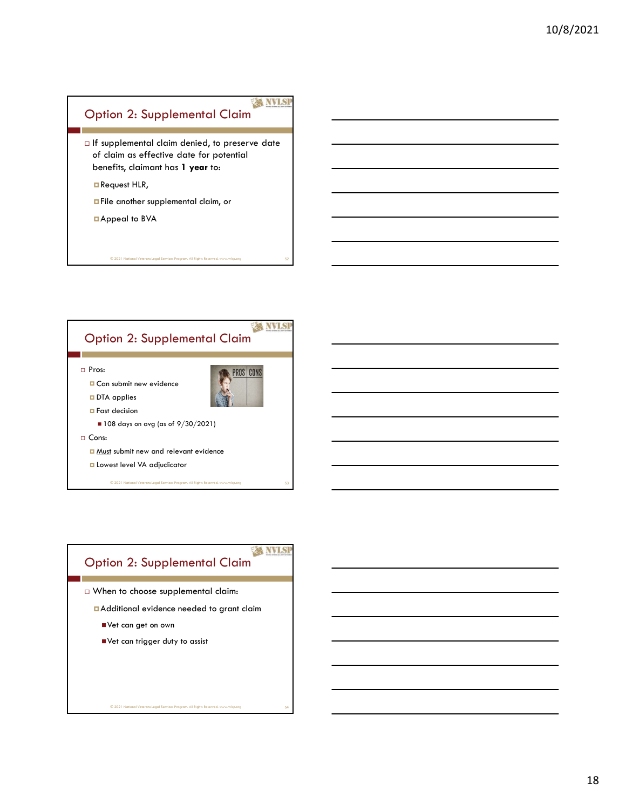## **EX NVLSP** Option 2: Supplemental Claim

 $\Box$  If supplemental claim denied, to preserve date of claim as effective date for potential benefits, claimant has 1 year to:

© 2021 National Veterans Legal Services Program. All Rights Reserved. www.nvlsp.org 52

Request HLR,

**E** File another supplemental claim, or

Appeal to BVA



## **WANTISH** Option 2: Supplemental Claim When to choose supplemental claim: Additional evidence needed to grant claim Vet can get on own Vet can trigger duty to assist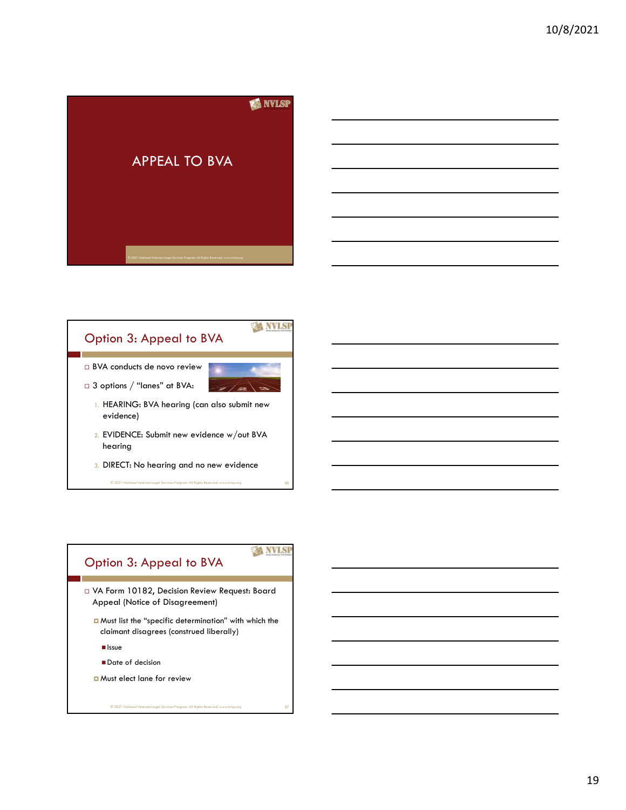



**WANTISH** 

## Option 3: Appeal to BVA

- VA Form 10182, Decision Review Request: Board Appeal (Notice of Disagreement)
	- Must list the "specific determination" with which the claimant disagrees (construed liberally)

© 2021 National Veterans Legal Services Program. All Rights Reserved. www.nvlsp.org 57

 $\blacksquare$  Issue

evidence)

hearing

- Date of decision
- **D** Must elect lane for review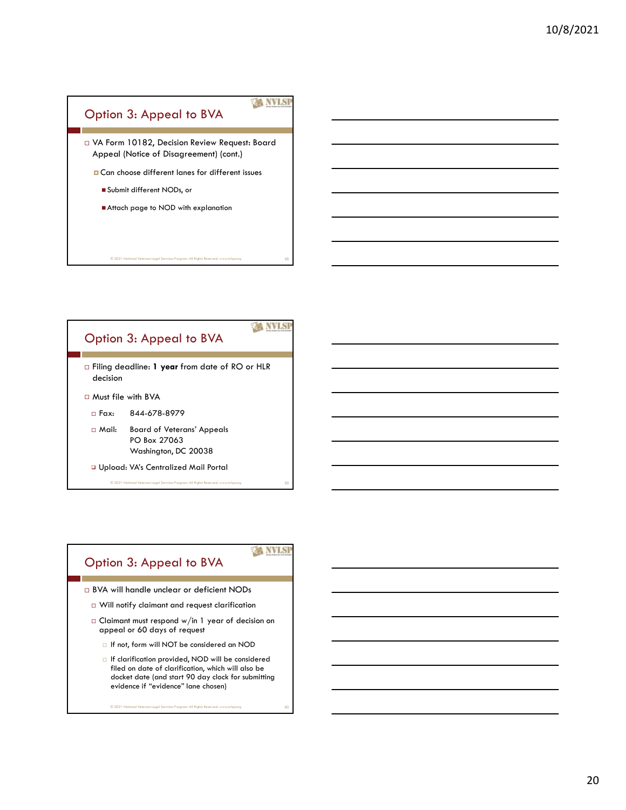



© 2021 National Veterans Legal Services Program. All Rights Re

### Option 3: Appeal to BVA

- BVA will handle unclear or deficient NODs
	- Will notify claimant and request clarification
	- Claimant must respond w/in 1 year of decision on appeal or 60 days of request

**XX NVLSI** 

- If not, form will NOT be considered an NOD
- If clarification provided, NOD will be considered filed on date of clarification, which will also be docket date (and start 90 day clock for submitting evidence if "evidence" lane chosen)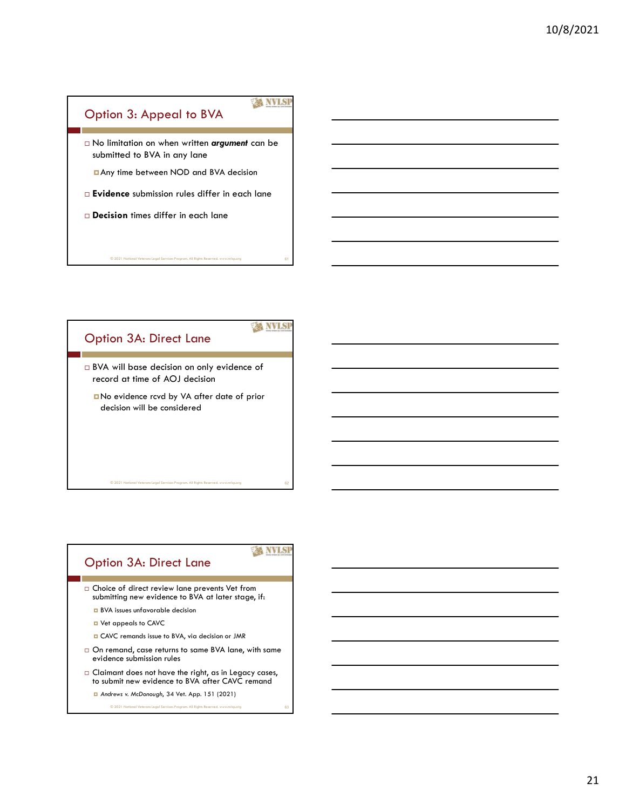

© 2021 National Veterans Legal Services Program. All Rights Reserved. www.nvlsp.org 61

**XX NVLSI** 



## Option 3A: Direct Lane

- $\square$  Choice of direct review lane prevents Vet from submitting new evidence to BVA at later stage, if:
	- **BVA** issues unfavorable decision

© 2021 National Veterans Legal Services Pro

- Vet appeals to CAVC
- CAVC remands issue to BVA, via decision or JMR
- $\Box$  On remand, case returns to same BVA lane, with same evidence submission rules
- Claimant does not have the right, as in Legacy cases, to submit new evidence to BVA after CAVC remand
	- Andrews v. McDonough, 34 Vet. App. 151 (2021) © 2021 National Veterans Legal Services Program. All Rights Reserved. www.nvlsp.org 63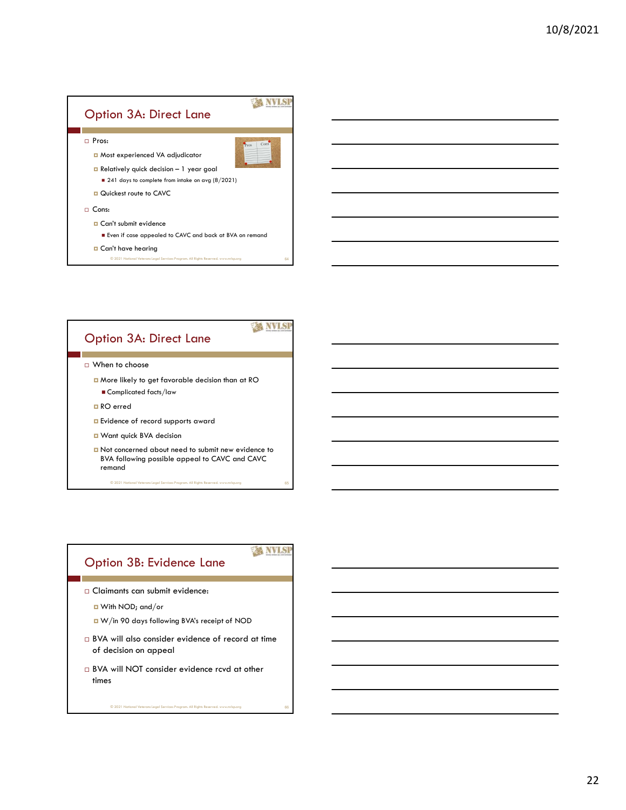



# Option 3B: Evidence Lane

#### **XX NVLSI**

- Claimants can submit evidence:
	- With NOD; and/or
	- W/in 90 days following BVA's receipt of NOD
- BVA will also consider evidence of record at time of decision on appeal
- BVA will NOT consider evidence rcvd at other times<br>© 2021 National Veterans Legal Services Program. All Rights Reserved. www.nvlsp.org 666<br>© 2021 National Veterans Legal Services Program. All Rights Reserved. www.nvlsp.org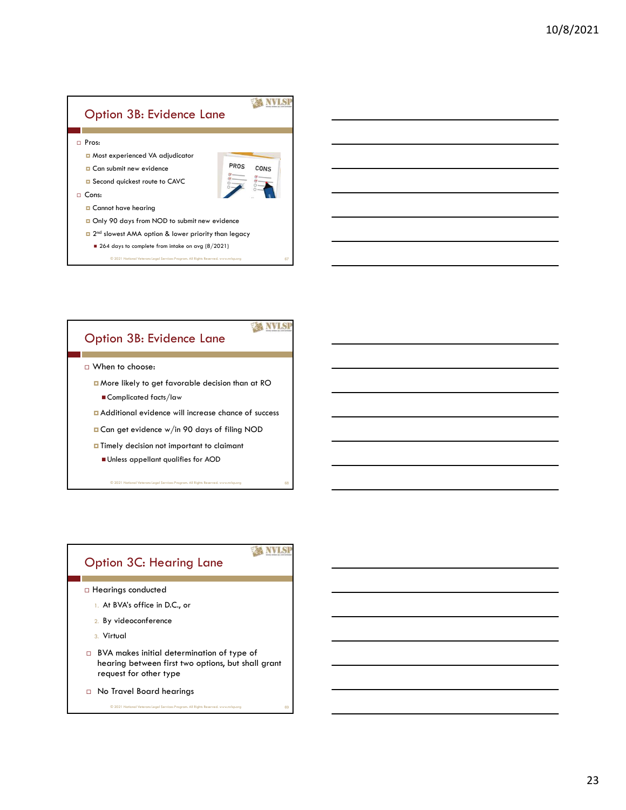#### **XX NVLSP** Option 3B: Evidence Lane Pros: Most experienced VA adjudicator **D** Can submit new evidence **EXECUTE:** PROS CONS **D** Second quickest route to CAVC  $\Box$  Cons: **D** Cannot have hearing □ Only 90 days from NOD to submit new evidence **n** 2<sup>nd</sup> slowest AMA option & lower priority than legacy **than 1** ■ 264 days to complete from intake on avg (8/2021) © 2021 National Veterans Legal Services Program. All Rights Reserved. www.nvlsp.org 67

#### Option 3B: Evidence Lane

- When to choose:
	- More likely to get favorable decision than at RO ■ Complicated facts/law
	- Additional evidence will increase chance of success
	- Can get evidence w/in 90 days of filing NOD
	- **Timely decision not important to claimant** 
		- Unless appellant qualifies for AOD
			- © 2021 National Veterans Legal Services Program. All Rights Reserved. www.nvlsp.org 68

### Option 3C: Hearing Lane

- Hearings conducted 1. At BVA's office in D.C., or
	-
	- 2. By videoconference

© 2021 National Veterans Legal Services Program. All Rights Reserved. www.nvlsp.org 69

- 3. Virtual
- BVA makes initial determination of type of hearing between first two options, but shall grant request for other type
- No Travel Board hearings

#### **XX NVLSP**

**A NVISI**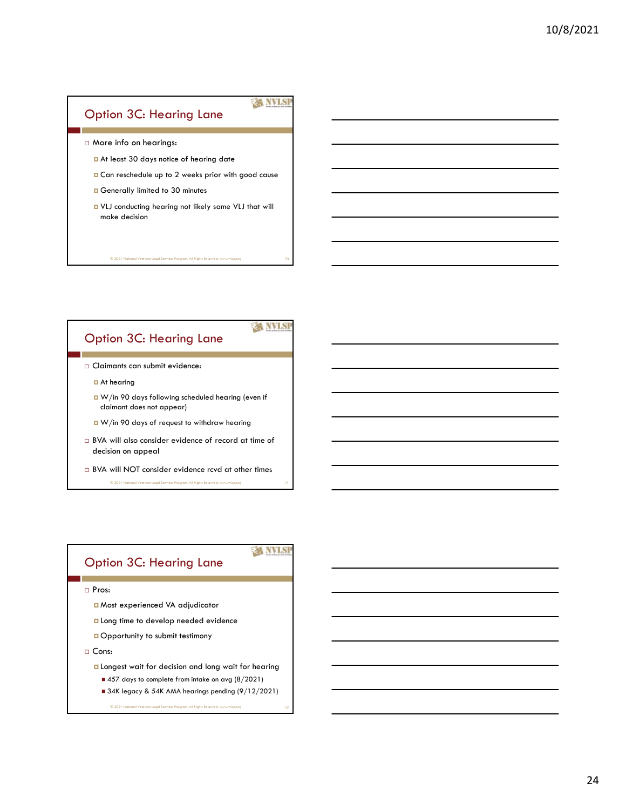#### Option 3C: Hearing Lane

**XX NVLSP** 

© 2021 National Veterans Legal Services Program. All Rights Reserved. www.nvlsp.org 70

**EX NVISI** 

**XX NVLSI** 

- More info on hearings:
	- At least 30 days notice of hearing date
	- **□** Can reschedule up to 2 weeks prior with good cause
	- **Generally limited to 30 minutes**
	- VLJ conducting hearing not likely same VLJ that will make decision

### Option 3C: Hearing Lane

- Claimants can submit evidence:
	- **D** At hearing
	- W/in 90 days following scheduled hearing (even if claimant does not appear)
	- W/in 90 days of request to withdraw hearing
- BVA will also consider evidence of record at time of decision on appeal
- BVA will NOT consider evidence rcvd at other times

#### © 2021 National Veterans Legal Services Program. All Rights Reserved. www.nvlsp.org 71

#### Option 3C: Hearing Lane

Pros:

- Most experienced VA adjudicator
- **Long time to develop needed evidence**
- **Opportunity to submit testimony**
- $\Box$  Cons:

- **L** Longest wait for decision and long wait for hearing
	- 457 days to complete from intake on avg (8/2021)
	- 34K legacy & 54K AMA hearings pending (9/12/2021)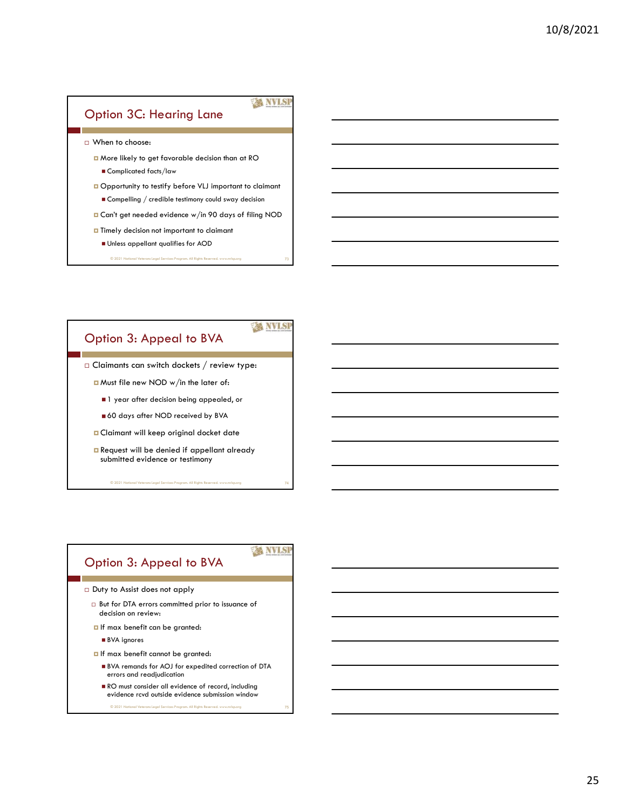#### Option 3C: Hearing Lane

**XX NVLSP** 

When to choose:

More likely to get favorable decision than at RO **Complicated facts/law** 

**Opportunity to testify before VLJ important to claimant** Compelling / credible testimony could sway decision

Can't get needed evidence w/in 90 days of filing NOD

 $\Box$  Timely decision not important to claimant

- Unless appellant qualifies for AOD
	- © 2021 National Veterans Legal Services Program. All Rights Reserved. www.nvlsp.org 73

#### Option 3: Appeal to BVA

 $\Box$  Claimants can switch dockets / review type:

Must file new NOD w/in the later of:

 $\blacksquare$  1 year after decision being appealed, or

60 days after NOD received by BVA

**O** Claimant will keep original docket date

Request will be denied if appellant already submitted evidence or testimony

© 2021 National Veterans Legal Services Program. All Rights Reserved. www.

### Option 3: Appeal to BVA

Duty to Assist does not apply

 But for DTA errors committed prior to issuance of decision on review:

**D** If max benefit can be granted:

■ BVA ignores

- $\Box$  If max benefit cannot be granted:
	- BVA remands for AOJ for expedited correction of DTA errors and readjudication

© 2021 National Veterans Legal Services Program. All Rights Reserved. www.nvlsp.org 75

RO must consider all evidence of record, including evidence rcvd outside evidence submission window

## **XX NVLSI**

**EX NVLSI**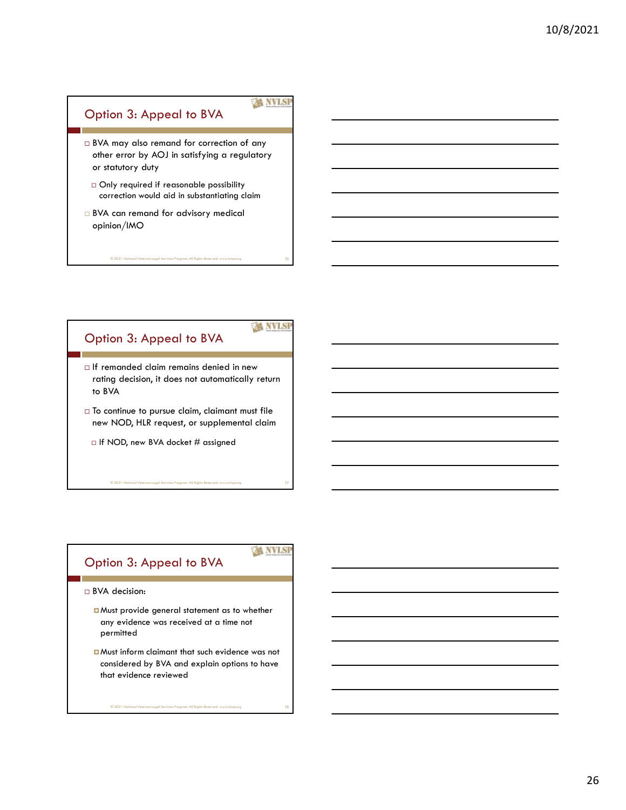#### **XX NVLSP** Option 3: Appeal to BVA

© 2021 National Veterans Legal Services Program. All Rights Reserved. www.nvlsp.org 76

**EX NVISI** 

© 2021 National Veterans Legal Services Program. All Rights Reserved. www.nvlsp.org 77

**XX NVLSI** 

- BVA may also remand for correction of any other error by AOJ in satisfying a regulatory or statutory duty
	- Only required if reasonable possibility correction would aid in substantiating claim
- □ BVA can remand for advisory medical opinion/IMO

#### Option 3: Appeal to BVA

- If remanded claim remains denied in new rating decision, it does not automatically return to BVA
- $\Box$  To continue to pursue claim, claimant must file new NOD, HLR request, or supplemental claim
	- $\Box$  If NOD, new BVA docket # assigned

### Option 3: Appeal to BVA

BVA decision:

- **D** Must provide general statement as to whether any evidence was received at a time not permitted
- Must inform claimant that such evidence was not considered by BVA and explain options to have that evidence reviewed

© 2021 National Veterans Legal Services Program. All Rights Reserved. www.nvlsp.org 78

26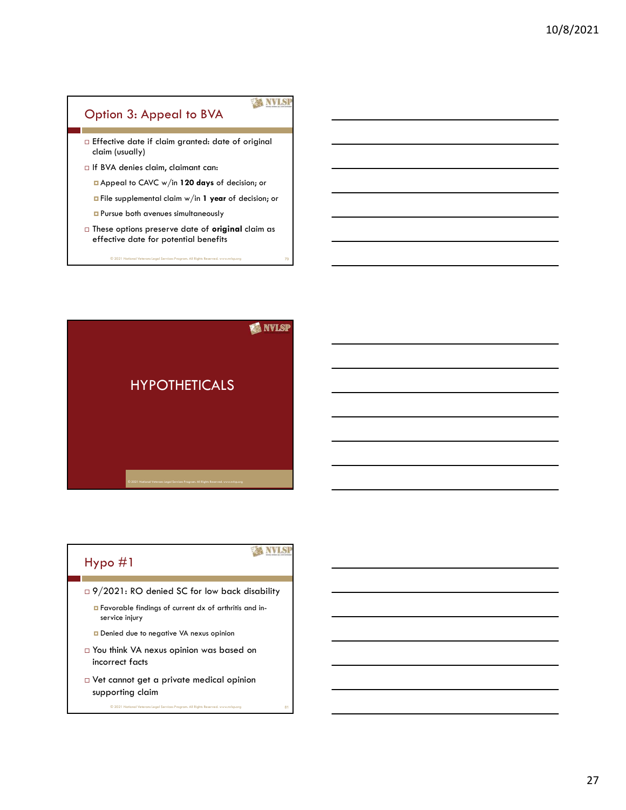#### **XX NVLSP** Option 3: Appeal to BVA Effective date if claim granted: date of original claim (usually) If BVA denies claim, claimant can: Appeal to CAVC w/in 120 days of decision; or File supplemental claim w/in 1 year of decision; or **Pursue both avenues simultaneously**  $\Box$  These options preserve date of **original** claim as effective date for potential benefits

© 2021 National Veterans Legal Services Program. All Rights Reserved. www.nvlsp.org 79

**EX NVLSP** 



□ 9/2021: RO denied SC for low back disability

- Favorable findings of current dx of arthritis and inservice injury
- Denied due to negative VA nexus opinion
- You think VA nexus opinion was based on incorrect facts
- Vet cannot get a private medical opinion supporting claim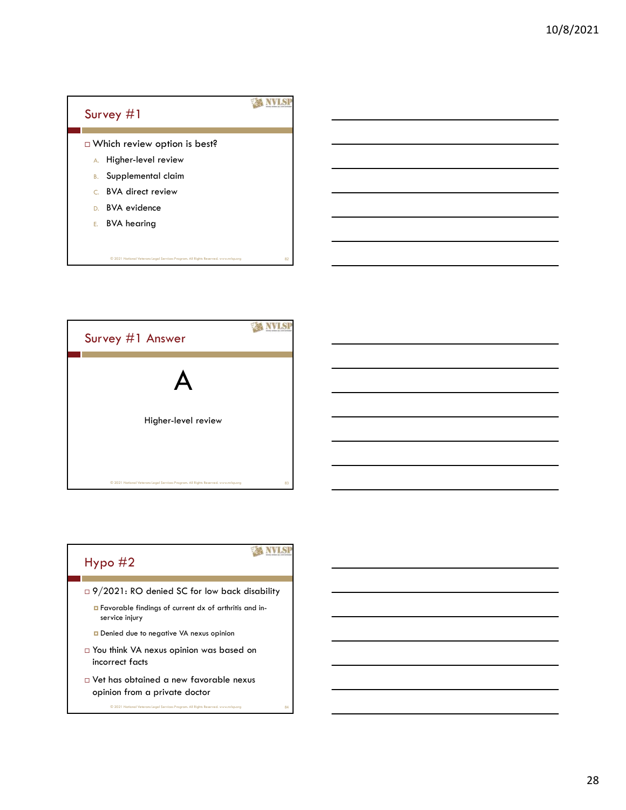



## **Hypo #2**

 $@ 2021$  National Veter

- □ 9/2021: RO denied SC for low back disability
	- Favorable findings of current dx of arthritis and inservice injury
	- Denied due to negative VA nexus opinion
- You think VA nexus opinion was based on incorrect facts
- Vet has obtained a new favorable nexus opinion from a private doctor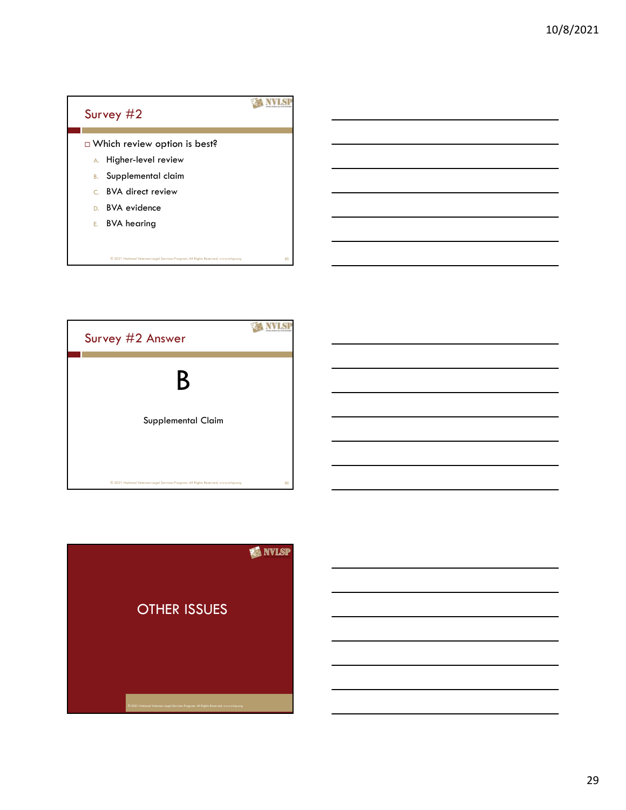



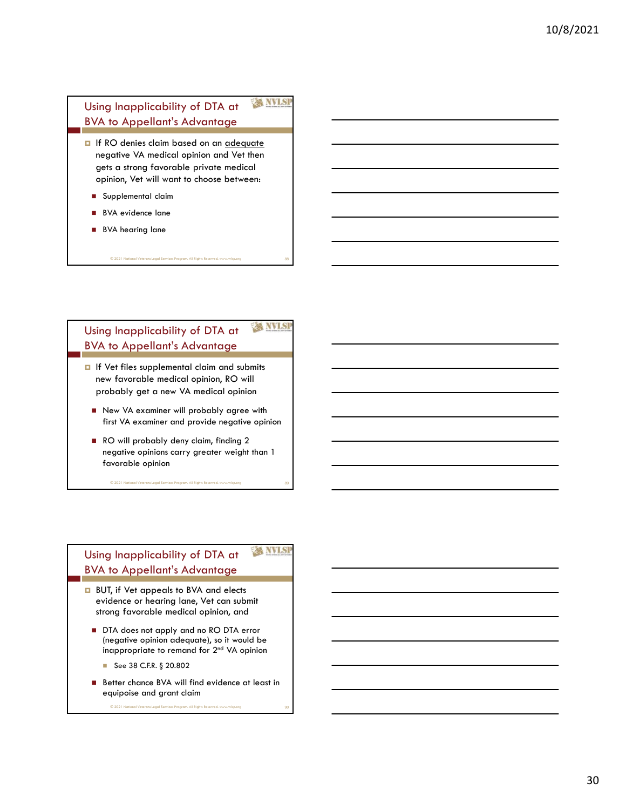## Using Inapplicability of DTA at NVLSE BVA to Appellant's Advantage

- **I** If RO denies claim based on an adequate negative VA medical opinion and Vet then gets a strong favorable private medical opinion, Vet will want to choose between:
	- Supplemental claim
	- **BVA** evidence lane
	- **BVA** hearing lane

#### Using Inapplicability of DTA at NVLSI BVA to Appellant's Advantage

© 2021 National Veterans Legal Services Program. All Rights Reserved. www.nvlsp.org 88

- **I** If Vet files supplemental claim and submits new favorable medical opinion, RO will probably get a new VA medical opinion
	- New VA examiner will probably agree with first VA examiner and provide negative opinion
	- RO will probably deny claim, finding 2 negative opinions carry greater weight than 1 favorable opinion ■ New VA examiner will probably agree with<br>
	first VA examiner and provide negative opinion<br>
	■ RO will probably deny claim, finding 2<br>
	negative opinions carry greater weight than 1<br>
	forvorable opinion<br>
	■<br>
	Sing Inapplicabi

© 2021 National Veterans Legal Services Program. All Rights Reserved. www.nvlsp.org 89

#### Using Inapplicability of DTA at NVLS BVA to Appellant's Advantage

- **BUT, if Vet appeals to BVA and elects** evidence or hearing lane, Vet can submit strong favorable medical opinion, and
	- DTA does not apply and no RO DTA error (negative opinion adequate), so it would be inappropriate to remand for 2nd VA opinion
		-
	- equipoise and grant claim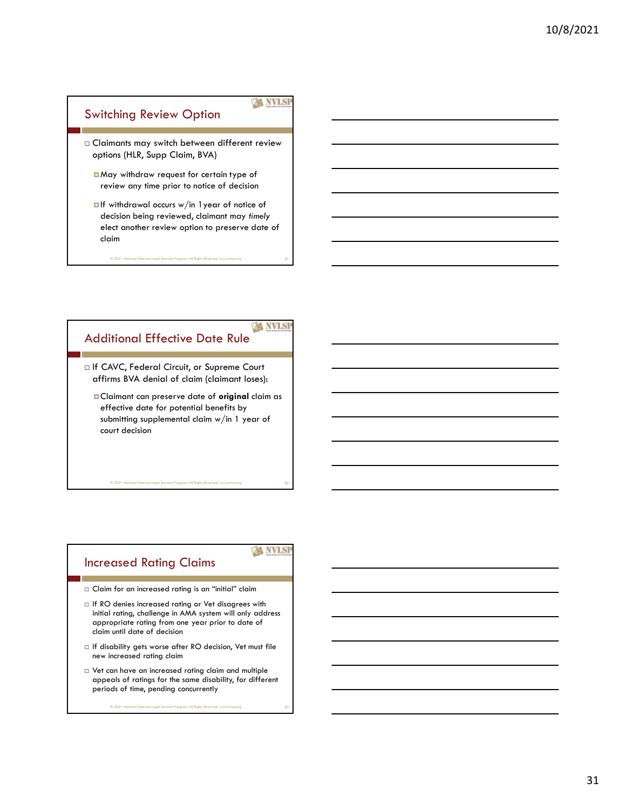# Switching Review Option Claimants may switch between different review Witching Review Option<br>
Claimans may switch between different review<br>
options (HLR, Supp Claim, BVA)<br> **Dividend the property of the property of the property of the property any time** prior to notice of decision<br> **Different** May withdraw request for certain type of review any time prior to notice of decision **D**If withdrawal occurs w/in 1 year of notice of

decision being reviewed, claimant may timely elect another review option to preserve date of claim<br>© 2021 National Veterans Legal Services Program. All Rights Reserved. www.nvlsp.org 91<br>→ 91

#### **XX NVLSI** Additional Effective Date Rule

□ If CAVC, Federal Circuit, or Supreme Court affirms BVA denial of claim (claimant loses):

**D**Claimant can preserve date of **original** claim as effective date for potential benefits by submitting supplemental claim w/in 1 year of court decision

Increased Rating Claims

**EX NVLSI** 

© 2021 National Veterans Legal Services Program. All Rights Reserved. www.nvlsp.org 92

- $\Box$  Claim for an increased rating is an "initial" claim
- $\Box$  If RO denies increased rating or Vet disagrees with initial rating, challenge in AMA system will only address appropriate rating from one year prior to date of claim until date of decision
- $\Box$  If disability gets worse after RO decision, Vet must file new increased rating claim
- Vet can have an increased rating claim and multiple appeals of ratings for the same disability, for different periods of time, pending concurrently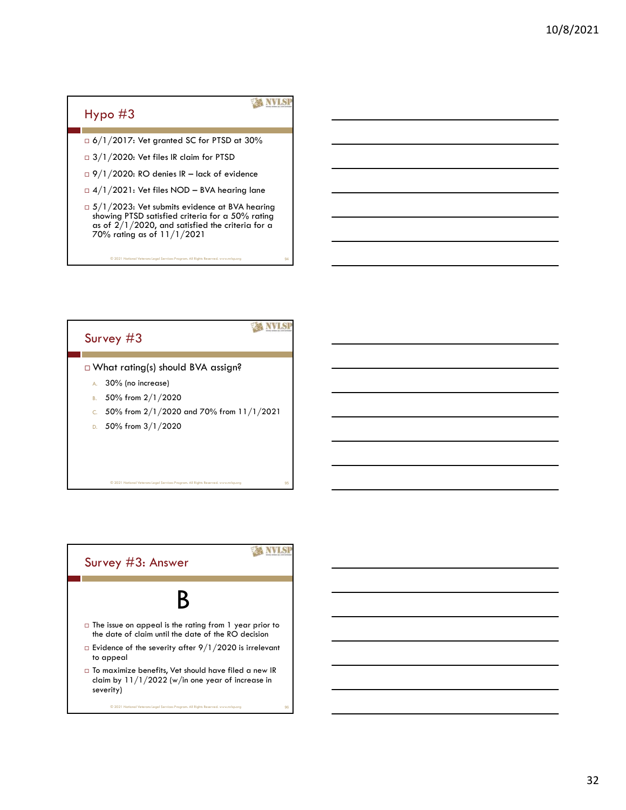#### Hypo #3

© 2021 National Veterans Legal Services Program. All Rights Reserved. www.nvlsp.org 94

**KANVISI** 

- 6/1/2017: Vet granted SC for PTSD at 30%
- $\Box$  3/1/2020: Vet files IR claim for PTSD
- 
- 
- 9/1/2020: Vet files IR lack of evidence  $\frac{3}{1/2020}$ : Vet files IR lack of evidence  $\frac{9}{1/2022}$ : Vet files NOD BVA hearing lane  $\frac{5}{1/2023}$ : Vet submits evidence at BVA hearing showing PTSD satisfied criter  $\Box$  5/1/2023: Vet submits evidence at BVA hearing showing PTSD satisfied criteria for a 50% rating as of  $2/1/2020$ , and satisfied the criteria for a 70% rating as of 11/1/2021

## Survey #3

#### What rating(s) should BVA assign?

- A. 30% (no increase)
- B. 50% from 2/1/2020
- C. 50% from  $2/1/2020$  and 70% from  $11/1/2021$
- D. 50% from 3/1/2020

© 2021 National Veterans Legal Services Prog

#### **XX NVLSP** Survey #3: Answer  $\mathsf{B}$   $\qquad$   $\qquad$  $\Box$  The issue on appeal is the rating from 1 year prior to the date of claim until the date of the RO decision  $\Box$  Evidence of the severity after 9/1/2020 is irrelevant to appeal  $\Box$  To maximize benefits, Vet should have filed a new IR claim by 11/1/2022 (w/in one year of increase in severity) © 2021 National Veterans Legal Services Program. All Rights Reserved. www.nvlsp.org 96